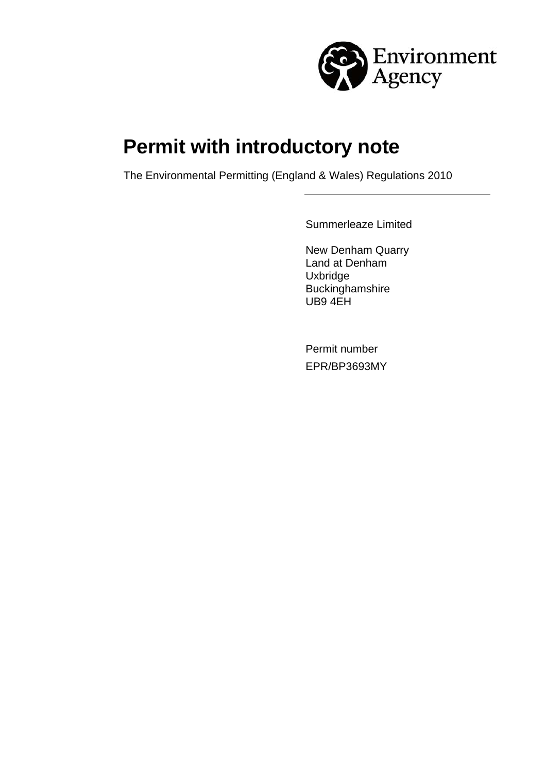

# **Permit with introductory note**

The Environmental Permitting (England & Wales) Regulations 2010

Summerleaze Limited

New Denham Quarry Land at Denham **Uxbridge** Buckinghamshire UB9 4EH

Permit number EPR/BP3693MY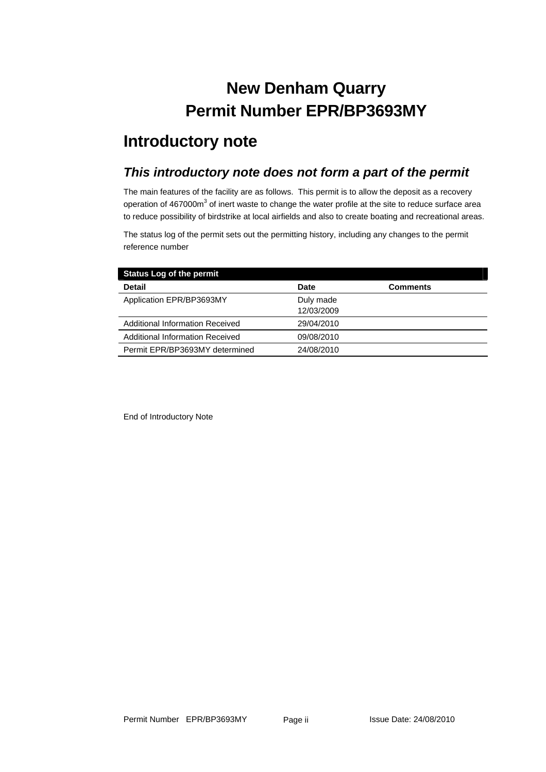## **New Denham Quarry Permit Number EPR/BP3693MY**

## **Introductory note**

#### *This introductory note does not form a part of the permit*

The main features of the facility are as follows. This permit is to allow the deposit as a recovery operation of 467000m<sup>3</sup> of inert waste to change the water profile at the site to reduce surface area to reduce possibility of birdstrike at local airfields and also to create boating and recreational areas.

The status log of the permit sets out the permitting history, including any changes to the permit reference number

| <b>Status Log of the permit</b>        |                         |                 |
|----------------------------------------|-------------------------|-----------------|
| <b>Detail</b>                          | <b>Date</b>             | <b>Comments</b> |
| Application EPR/BP3693MY               | Duly made<br>12/03/2009 |                 |
| <b>Additional Information Received</b> | 29/04/2010              |                 |
| <b>Additional Information Received</b> | 09/08/2010              |                 |
| Permit EPR/BP3693MY determined         | 24/08/2010              |                 |

End of Introductory Note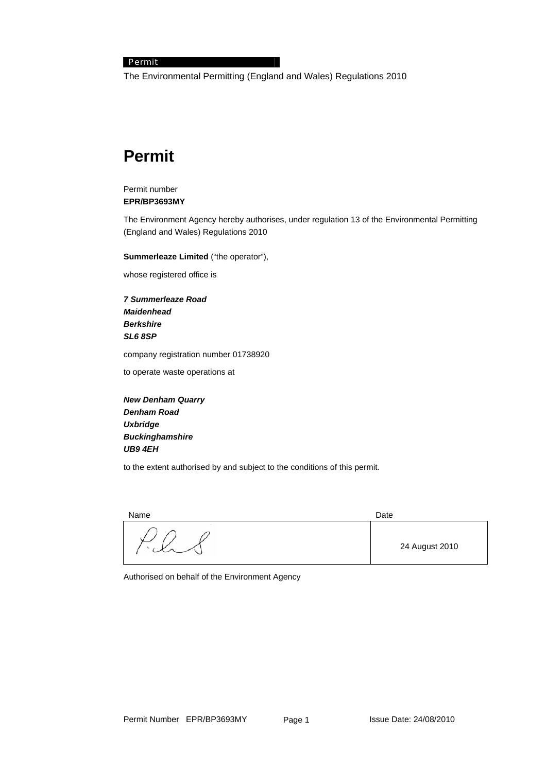#### Permit

The Environmental Permitting (England and Wales) Regulations 2010

## **Permit**

#### Permit number **EPR/BP3693MY**

The Environment Agency hereby authorises, under regulation 13 of the Environmental Permitting (England and Wales) Regulations 2010

**Summerleaze Limited** ("the operator"),

whose registered office is

*7 Summerleaze Road Maidenhead Berkshire SL6 8SP* 

company registration number 01738920

to operate waste operations at

*New Denham Quarry Denham Road Uxbridge Buckinghamshire UB9 4EH* 

to the extent authorised by and subject to the conditions of this permit.

Name Date **Date** 

24 August 2010

Authorised on behalf of the Environment Agency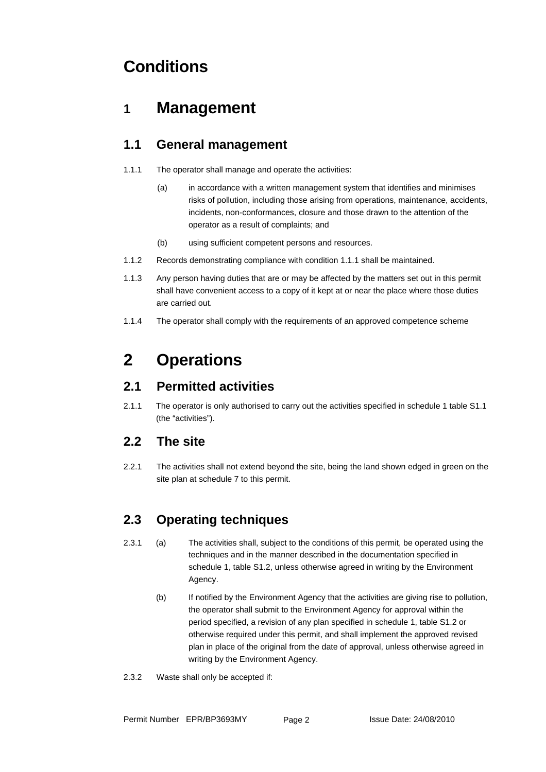## **Conditions**

### **1 Management**

#### **1.1 General management**

- 1.1.1 The operator shall manage and operate the activities:
	- (a) in accordance with a written management system that identifies and minimises risks of pollution, including those arising from operations, maintenance, accidents, incidents, non-conformances, closure and those drawn to the attention of the operator as a result of complaints; and
	- (b) using sufficient competent persons and resources.
- 1.1.2 Records demonstrating compliance with condition 1.1.1 shall be maintained.
- 1.1.3 Any person having duties that are or may be affected by the matters set out in this permit shall have convenient access to a copy of it kept at or near the place where those duties are carried out.
- 1.1.4 The operator shall comply with the requirements of an approved competence scheme

## **2 Operations**

#### **2.1 Permitted activities**

2.1.1 The operator is only authorised to carry out the activities specified in schedule 1 table S1.1 (the "activities").

#### **2.2 The site**

2.2.1 The activities shall not extend beyond the site, being the land shown edged in green on the site plan at schedule 7 to this permit.

#### **2.3 Operating techniques**

- 2.3.1 (a) The activities shall, subject to the conditions of this permit, be operated using the techniques and in the manner described in the documentation specified in schedule 1, table S1.2, unless otherwise agreed in writing by the Environment Agency.
	- (b) If notified by the Environment Agency that the activities are giving rise to pollution, the operator shall submit to the Environment Agency for approval within the period specified, a revision of any plan specified in schedule 1, table S1.2 or otherwise required under this permit, and shall implement the approved revised plan in place of the original from the date of approval, unless otherwise agreed in writing by the Environment Agency.
- 2.3.2 Waste shall only be accepted if: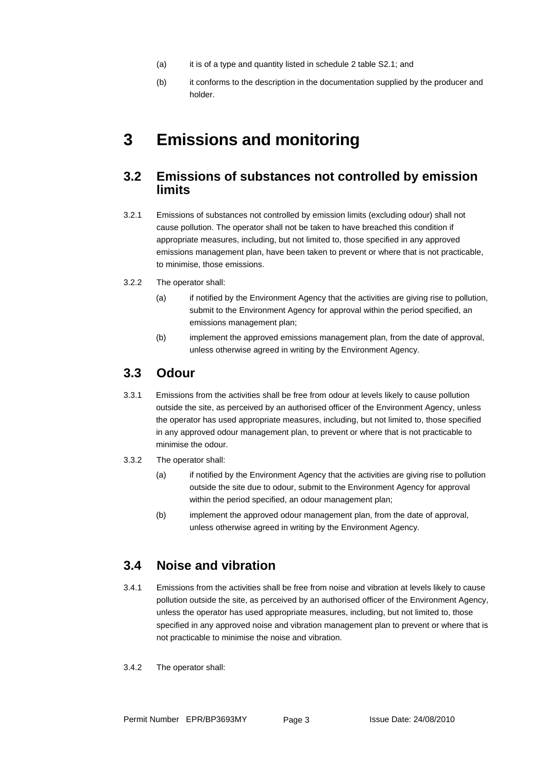- (a) it is of a type and quantity listed in schedule 2 table S2.1; and
- (b) it conforms to the description in the documentation supplied by the producer and holder.

## **3 Emissions and monitoring**

#### **3.2 Emissions of substances not controlled by emission limits**

- 3.2.1 Emissions of substances not controlled by emission limits (excluding odour) shall not cause pollution. The operator shall not be taken to have breached this condition if appropriate measures, including, but not limited to, those specified in any approved emissions management plan, have been taken to prevent or where that is not practicable, to minimise, those emissions.
- 3.2.2 The operator shall:
	- (a) if notified by the Environment Agency that the activities are giving rise to pollution, submit to the Environment Agency for approval within the period specified, an emissions management plan;
	- (b) implement the approved emissions management plan, from the date of approval, unless otherwise agreed in writing by the Environment Agency.

#### **3.3 Odour**

- 3.3.1 Emissions from the activities shall be free from odour at levels likely to cause pollution outside the site, as perceived by an authorised officer of the Environment Agency, unless the operator has used appropriate measures, including, but not limited to, those specified in any approved odour management plan, to prevent or where that is not practicable to minimise the odour.
- 3.3.2 The operator shall:
	- (a) if notified by the Environment Agency that the activities are giving rise to pollution outside the site due to odour, submit to the Environment Agency for approval within the period specified, an odour management plan:
	- (b) implement the approved odour management plan, from the date of approval, unless otherwise agreed in writing by the Environment Agency.

#### **3.4 Noise and vibration**

- 3.4.1 Emissions from the activities shall be free from noise and vibration at levels likely to cause pollution outside the site, as perceived by an authorised officer of the Environment Agency, unless the operator has used appropriate measures, including, but not limited to, those specified in any approved noise and vibration management plan to prevent or where that is not practicable to minimise the noise and vibration.
- 3.4.2 The operator shall: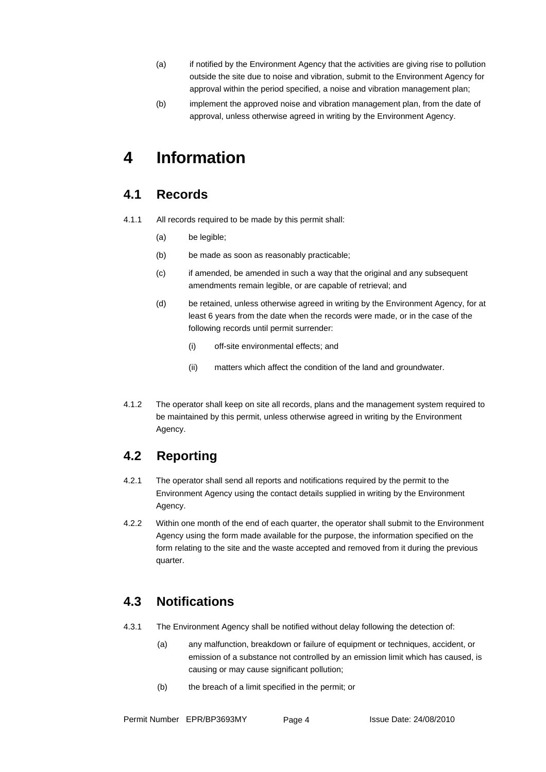- (a) if notified by the Environment Agency that the activities are giving rise to pollution outside the site due to noise and vibration, submit to the Environment Agency for approval within the period specified, a noise and vibration management plan;
- (b) implement the approved noise and vibration management plan, from the date of approval, unless otherwise agreed in writing by the Environment Agency.

## **4 Information**

#### **4.1 Records**

- 4.1.1 All records required to be made by this permit shall:
	- (a) be legible;
	- (b) be made as soon as reasonably practicable;
	- (c) if amended, be amended in such a way that the original and any subsequent amendments remain legible, or are capable of retrieval; and
	- (d) be retained, unless otherwise agreed in writing by the Environment Agency, for at least 6 years from the date when the records were made, or in the case of the following records until permit surrender:
		- (i) off-site environmental effects; and
		- (ii) matters which affect the condition of the land and groundwater.
- 4.1.2 The operator shall keep on site all records, plans and the management system required to be maintained by this permit, unless otherwise agreed in writing by the Environment Agency.

### **4.2 Reporting**

- 4.2.1 The operator shall send all reports and notifications required by the permit to the Environment Agency using the contact details supplied in writing by the Environment Agency.
- 4.2.2 Within one month of the end of each quarter, the operator shall submit to the Environment Agency using the form made available for the purpose, the information specified on the form relating to the site and the waste accepted and removed from it during the previous quarter.

#### **4.3 Notifications**

- 4.3.1 The Environment Agency shall be notified without delay following the detection of:
	- (a) any malfunction, breakdown or failure of equipment or techniques, accident, or emission of a substance not controlled by an emission limit which has caused, is causing or may cause significant pollution;
	- (b) the breach of a limit specified in the permit; or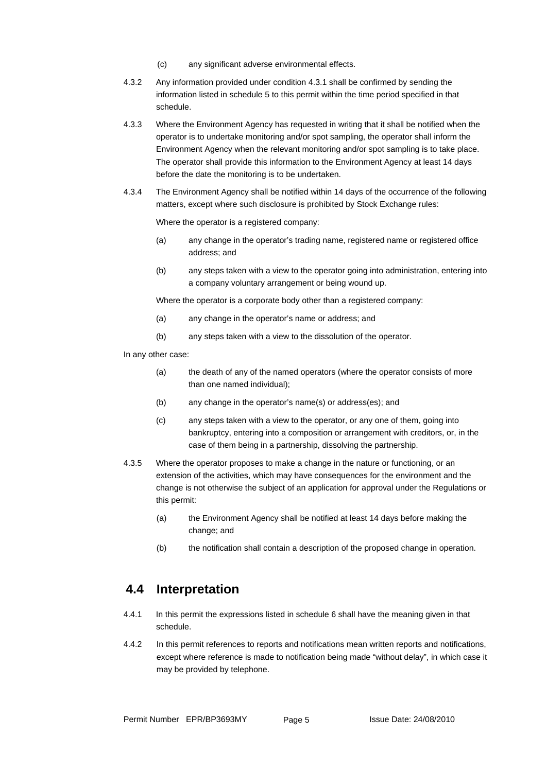- (c) any significant adverse environmental effects.
- 4.3.2 Any information provided under condition 4.3.1 shall be confirmed by sending the information listed in schedule 5 to this permit within the time period specified in that schedule.
- 4.3.3 Where the Environment Agency has requested in writing that it shall be notified when the operator is to undertake monitoring and/or spot sampling, the operator shall inform the Environment Agency when the relevant monitoring and/or spot sampling is to take place. The operator shall provide this information to the Environment Agency at least 14 days before the date the monitoring is to be undertaken.
- 4.3.4 The Environment Agency shall be notified within 14 days of the occurrence of the following matters, except where such disclosure is prohibited by Stock Exchange rules:

Where the operator is a registered company:

- (a) any change in the operator's trading name, registered name or registered office address; and
- (b) any steps taken with a view to the operator going into administration, entering into a company voluntary arrangement or being wound up.

Where the operator is a corporate body other than a registered company:

- (a) any change in the operator's name or address; and
- (b) any steps taken with a view to the dissolution of the operator.

In any other case:

- (a) the death of any of the named operators (where the operator consists of more than one named individual);
- (b) any change in the operator's name(s) or address(es); and
- (c) any steps taken with a view to the operator, or any one of them, going into bankruptcy, entering into a composition or arrangement with creditors, or, in the case of them being in a partnership, dissolving the partnership.
- 4.3.5 Where the operator proposes to make a change in the nature or functioning, or an extension of the activities, which may have consequences for the environment and the change is not otherwise the subject of an application for approval under the Regulations or this permit:
	- (a) the Environment Agency shall be notified at least 14 days before making the change; and
	- (b) the notification shall contain a description of the proposed change in operation.

#### **4.4 Interpretation**

- 4.4.1 In this permit the expressions listed in schedule 6 shall have the meaning given in that schedule.
- 4.4.2 In this permit references to reports and notifications mean written reports and notifications, except where reference is made to notification being made "without delay", in which case it may be provided by telephone.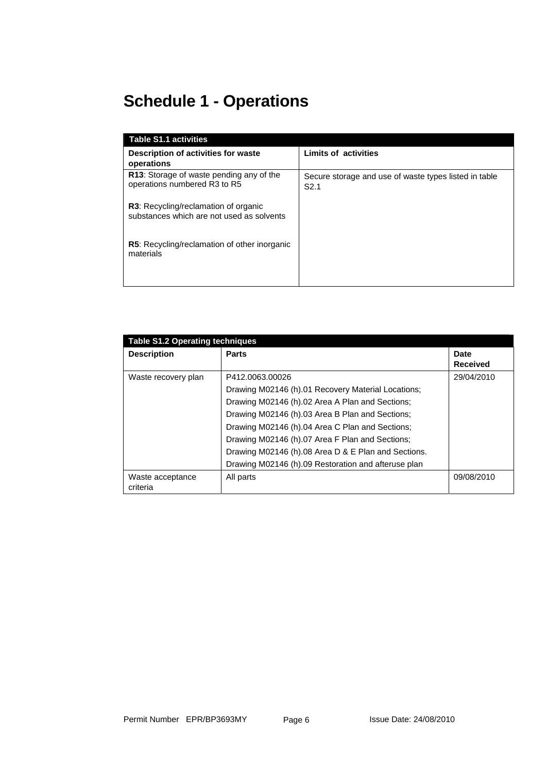## **Schedule 1 - Operations**

| <b>Table S1.1 activities</b>                                                             |                                                                           |
|------------------------------------------------------------------------------------------|---------------------------------------------------------------------------|
| Description of activities for waste<br>operations                                        | <b>Limits of activities</b>                                               |
| <b>R13:</b> Storage of waste pending any of the<br>operations numbered R3 to R5          | Secure storage and use of waste types listed in table<br>S <sub>2.1</sub> |
| <b>R3:</b> Recycling/reclamation of organic<br>substances which are not used as solvents |                                                                           |
| <b>R5:</b> Recycling/reclamation of other inorganic<br>materials                         |                                                                           |

| <b>Table S1.2 Operating techniques</b> |                                                     |                         |
|----------------------------------------|-----------------------------------------------------|-------------------------|
| <b>Description</b>                     | <b>Parts</b>                                        | Date<br><b>Received</b> |
| Waste recovery plan                    | P412.0063.00026                                     | 29/04/2010              |
|                                        | Drawing M02146 (h).01 Recovery Material Locations;  |                         |
|                                        | Drawing M02146 (h).02 Area A Plan and Sections;     |                         |
|                                        | Drawing M02146 (h).03 Area B Plan and Sections;     |                         |
|                                        | Drawing M02146 (h).04 Area C Plan and Sections;     |                         |
|                                        | Drawing M02146 (h).07 Area F Plan and Sections;     |                         |
|                                        | Drawing M02146 (h).08 Area D & E Plan and Sections. |                         |
|                                        | Drawing M02146 (h).09 Restoration and afteruse plan |                         |
| Waste acceptance<br>criteria           | All parts                                           | 09/08/2010              |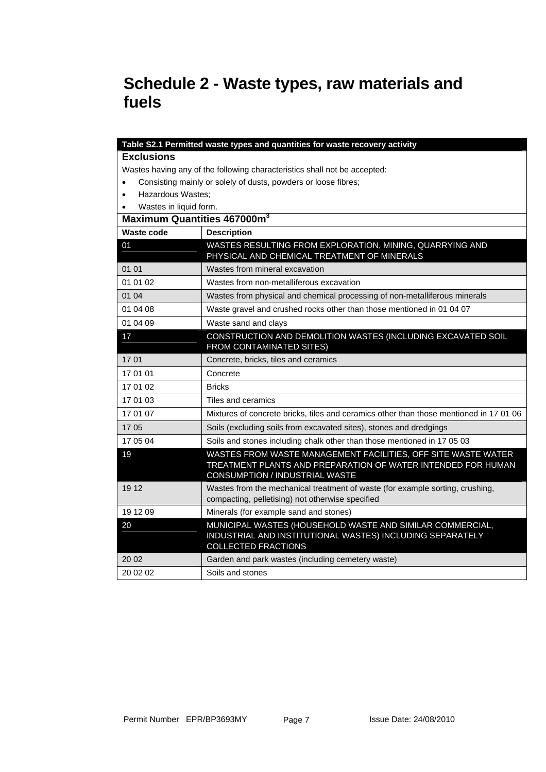## **Schedule 2 - Waste types, raw materials and fuels**

|                                     | Table S2.1 Permitted waste types and quantities for waste recovery activity                                                                                            |
|-------------------------------------|------------------------------------------------------------------------------------------------------------------------------------------------------------------------|
| <b>Exclusions</b>                   |                                                                                                                                                                        |
|                                     | Wastes having any of the following characteristics shall not be accepted:                                                                                              |
| $\bullet$                           | Consisting mainly or solely of dusts, powders or loose fibres;                                                                                                         |
| Hazardous Wastes;<br>$\bullet$      |                                                                                                                                                                        |
| Wastes in liquid form.<br>$\bullet$ |                                                                                                                                                                        |
|                                     | Maximum Quantities 467000m <sup>3</sup>                                                                                                                                |
| Waste code                          | <b>Description</b>                                                                                                                                                     |
| 01                                  | WASTES RESULTING FROM EXPLORATION, MINING, QUARRYING AND<br>PHYSICAL AND CHEMICAL TREATMENT OF MINERALS                                                                |
| 01 01                               | Wastes from mineral excavation                                                                                                                                         |
| 01 01 02                            | Wastes from non-metalliferous excavation                                                                                                                               |
| 01 04                               | Wastes from physical and chemical processing of non-metalliferous minerals                                                                                             |
| 01 04 08                            | Waste gravel and crushed rocks other than those mentioned in 01 04 07                                                                                                  |
| 01 04 09                            | Waste sand and clays                                                                                                                                                   |
| 17                                  | CONSTRUCTION AND DEMOLITION WASTES (INCLUDING EXCAVATED SOIL<br>FROM CONTAMINATED SITES)                                                                               |
| 1701                                | Concrete, bricks, tiles and ceramics                                                                                                                                   |
| 17 01 01                            | Concrete                                                                                                                                                               |
| 17 01 02                            | <b>Bricks</b>                                                                                                                                                          |
| 17 01 03                            | Tiles and ceramics                                                                                                                                                     |
| 17 01 07                            | Mixtures of concrete bricks, tiles and ceramics other than those mentioned in 17 01 06                                                                                 |
| 1705                                | Soils (excluding soils from excavated sites), stones and dredgings                                                                                                     |
| 17 05 04                            | Soils and stones including chalk other than those mentioned in 17 05 03                                                                                                |
| 19                                  | WASTES FROM WASTE MANAGEMENT FACILITIES, OFF SITE WASTE WATER<br>TREATMENT PLANTS AND PREPARATION OF WATER INTENDED FOR HUMAN<br><b>CONSUMPTION / INDUSTRIAL WASTE</b> |
| 19 12                               | Wastes from the mechanical treatment of waste (for example sorting, crushing,<br>compacting, pelletising) not otherwise specified                                      |
| 19 12 09                            | Minerals (for example sand and stones)                                                                                                                                 |
| 20                                  | MUNICIPAL WASTES (HOUSEHOLD WASTE AND SIMILAR COMMERCIAL,<br>INDUSTRIAL AND INSTITUTIONAL WASTES) INCLUDING SEPARATELY<br><b>COLLECTED FRACTIONS</b>                   |
| 20 02                               | Garden and park wastes (including cemetery waste)                                                                                                                      |
| 20 02 02                            | Soils and stones                                                                                                                                                       |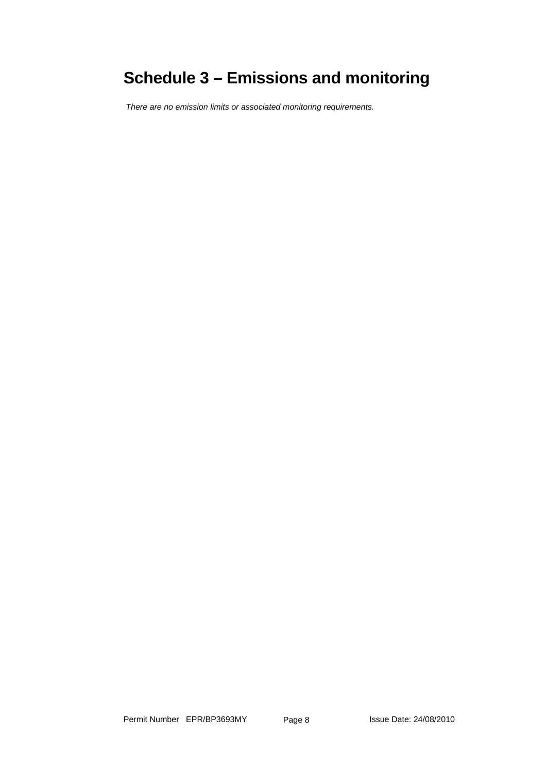## **Schedule 3 – Emissions and monitoring**

*There are no emission limits or associated monitoring requirements.*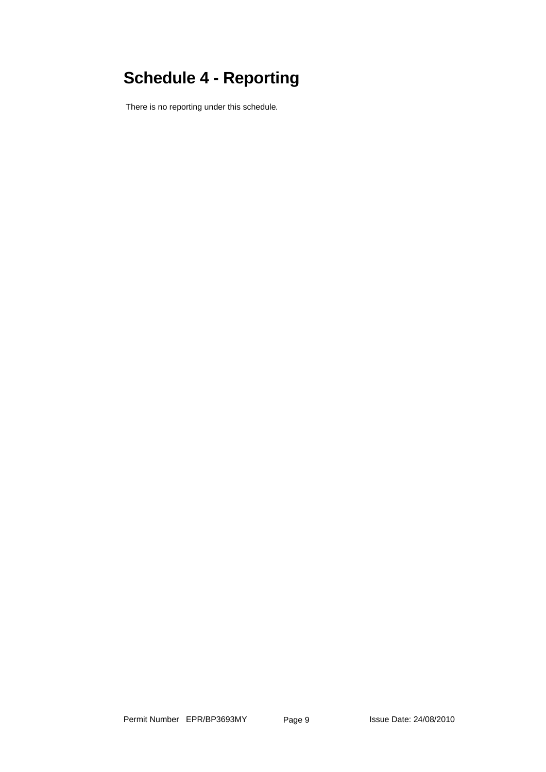# **Schedule 4 - Reporting**

There is no reporting under this schedule*.*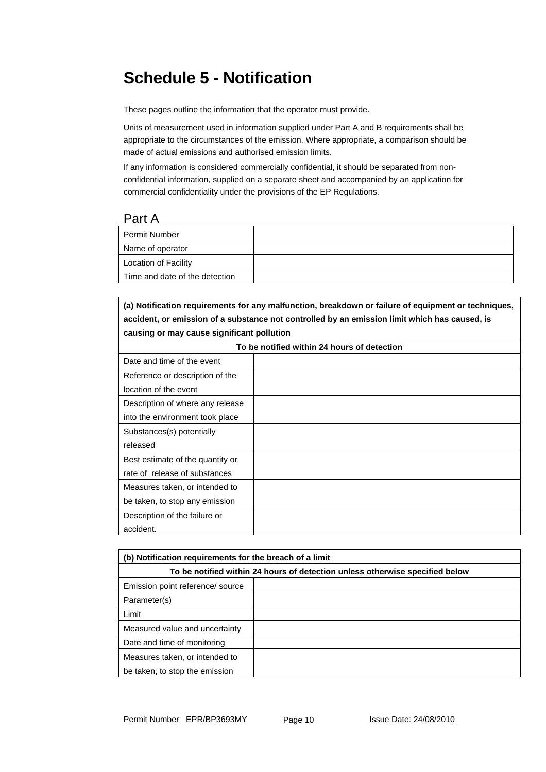## **Schedule 5 - Notification**

These pages outline the information that the operator must provide.

Units of measurement used in information supplied under Part A and B requirements shall be appropriate to the circumstances of the emission. Where appropriate, a comparison should be made of actual emissions and authorised emission limits.

If any information is considered commercially confidential, it should be separated from nonconfidential information, supplied on a separate sheet and accompanied by an application for commercial confidentiality under the provisions of the EP Regulations.

#### Part A

| Permit Number                  |  |
|--------------------------------|--|
| Name of operator               |  |
| <b>Location of Facility</b>    |  |
| Time and date of the detection |  |

**(a) Notification requirements for any malfunction, breakdown or failure of equipment or techniques, accident, or emission of a substance not controlled by an emission limit which has caused, is causing or may cause significant pollution** 

| To be notified within 24 hours of detection |  |  |
|---------------------------------------------|--|--|
| Date and time of the event                  |  |  |
| Reference or description of the             |  |  |
| location of the event                       |  |  |
| Description of where any release            |  |  |
| into the environment took place             |  |  |
| Substances(s) potentially                   |  |  |
| released                                    |  |  |
| Best estimate of the quantity or            |  |  |
| rate of release of substances               |  |  |
| Measures taken, or intended to              |  |  |
| be taken, to stop any emission              |  |  |
| Description of the failure or               |  |  |
| accident.                                   |  |  |

| (b) Notification requirements for the breach of a limit                      |  |  |
|------------------------------------------------------------------------------|--|--|
| To be notified within 24 hours of detection unless otherwise specified below |  |  |
| Emission point reference/ source                                             |  |  |
| Parameter(s)                                                                 |  |  |
| Limit                                                                        |  |  |
| Measured value and uncertainty                                               |  |  |
| Date and time of monitoring                                                  |  |  |
| Measures taken, or intended to                                               |  |  |
| be taken, to stop the emission                                               |  |  |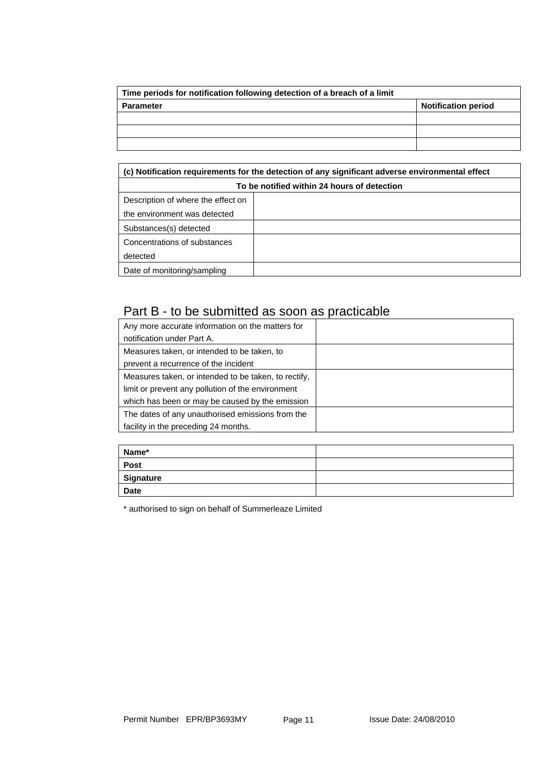| Time periods for notification following detection of a breach of a limit |                            |
|--------------------------------------------------------------------------|----------------------------|
| Parameter                                                                | <b>Notification period</b> |
|                                                                          |                            |
|                                                                          |                            |
|                                                                          |                            |

| (c) Notification requirements for the detection of any significant adverse environmental effect |  |  |
|-------------------------------------------------------------------------------------------------|--|--|
| To be notified within 24 hours of detection                                                     |  |  |
| Description of where the effect on                                                              |  |  |
| the environment was detected                                                                    |  |  |
| Substances(s) detected                                                                          |  |  |
| Concentrations of substances                                                                    |  |  |
| detected                                                                                        |  |  |
| Date of monitoring/sampling                                                                     |  |  |

### Part B - to be submitted as soon as practicable

| Any more accurate information on the matters for     |  |
|------------------------------------------------------|--|
| notification under Part A.                           |  |
| Measures taken, or intended to be taken, to          |  |
| prevent a recurrence of the incident                 |  |
| Measures taken, or intended to be taken, to rectify, |  |
| limit or prevent any pollution of the environment    |  |
| which has been or may be caused by the emission      |  |
| The dates of any unauthorised emissions from the     |  |
| facility in the preceding 24 months.                 |  |

| Name*       |  |
|-------------|--|
| Post        |  |
| Signature   |  |
| <b>Date</b> |  |

\* authorised to sign on behalf of Summerleaze Limited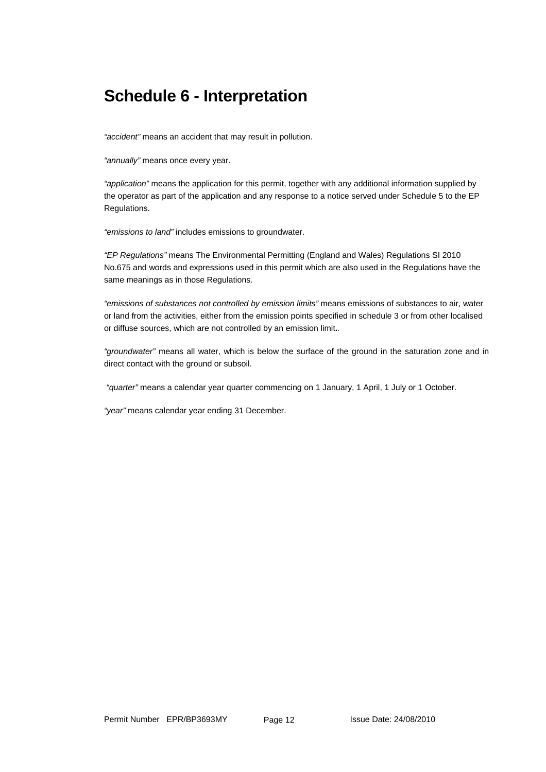## **Schedule 6 - Interpretation**

*"accident"* means an accident that may result in pollution.

*"annually"* means once every year.

*"application"* means the application for this permit, together with any additional information supplied by the operator as part of the application and any response to a notice served under Schedule 5 to the EP Regulations.

*"emissions to land"* includes emissions to groundwater.

*"EP Regulations"* means The Environmental Permitting (England and Wales) Regulations SI 2010 No.675 and words and expressions used in this permit which are also used in the Regulations have the same meanings as in those Regulations.

*"emissions of substances not controlled by emission limits"* means emissions of substances to air, water or land from the activities, either from the emission points specified in schedule 3 or from other localised or diffuse sources, which are not controlled by an emission limit**.**.

*"groundwater"* means all water, which is below the surface of the ground in the saturation zone and in direct contact with the ground or subsoil.

 *"quarter"* means a calendar year quarter commencing on 1 January, 1 April, 1 July or 1 October.

*"year"* means calendar year ending 31 December.